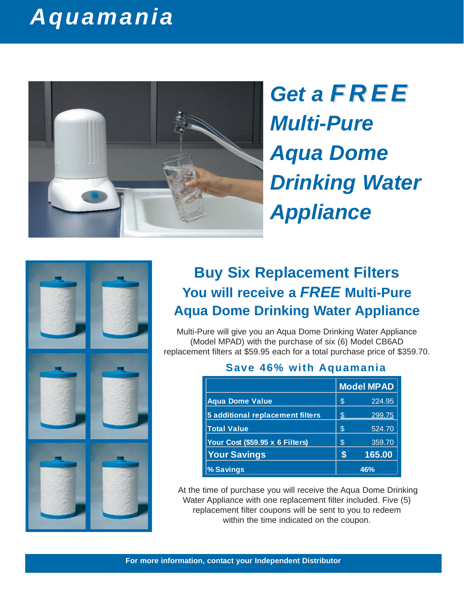## *Aquamania*



*Get a FREE Multi-Pure Aqua Dome Drinking Water Appliance*



### **Buy Six Replacement Filters You will receive a** *FREE* **Multi-Pure Aqua Dome Drinking Water Appliance**

Multi-Pure will give you an Aqua Dome Drinking Water Appliance (Model MPAD) with the purchase of six (6) Model CB6AD replacement filters at \$59.95 each for a total purchase price of \$359.70.

|                                  |    | <b>Model MPAD</b> |  |  |
|----------------------------------|----|-------------------|--|--|
| <b>Aqua Dome Value</b>           | S  | 224.95            |  |  |
| 5 additional replacement filters | \$ | 299.75            |  |  |
| <b>Total Value</b>               | \$ | 524.70            |  |  |
| Your Cost (\$59.95 x 6 Filters)  | \$ | 359.70            |  |  |
| <b>Your Savings</b>              | S  | 165.00            |  |  |
| % Savings                        |    | 46%               |  |  |

#### **Save 46% with Aquamania**

At the time of purchase you will receive the Aqua Dome Drinking Water Appliance with one replacement filter included. Five (5) replacement filter coupons will be sent to you to redeem within the time indicated on the coupon.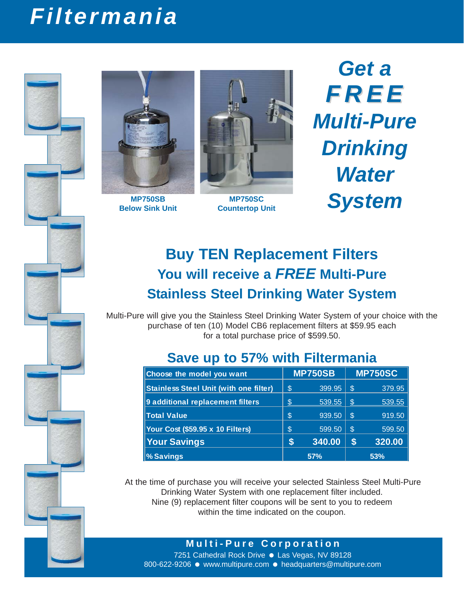# *Filtermania*





**MP750SB Below Sink Unit**



**MP750SC Countertop Unit** 

*Get a FREE Multi-Pure Drinking Water System*

### **Buy TEN Replacement Filters You will receive a** *FREE* **Multi-Pure Stainless Steel Drinking Water System**

Multi-Pure will give you the Stainless Steel Drinking Water System of your choice with the purchase of ten (10) Model CB6 replacement filters at \$59.95 each for a total purchase price of \$599.50.

### **Save up to 57% with Filtermania**

| Choose the model you want                     | <b>MP750SB</b> |        | <b>MP750SC</b> |        |
|-----------------------------------------------|----------------|--------|----------------|--------|
| <b>Stainless Steel Unit (with one filter)</b> | \$             | 399.95 | <sup>\$</sup>  | 379.95 |
| 9 additional replacement filters              | ß.             | 539.55 | \$             | 539.55 |
| <b>Total Value</b>                            | \$             | 939.50 | <sup>\$</sup>  | 919.50 |
| Your Cost (\$59.95 x 10 Filters)              | \$             | 599.50 | ' S            | 599.50 |
| <b>Your Savings</b>                           | S              | 340.00 | \$             | 320.00 |
| <b>%Savings</b>                               | 57%            |        | 53%            |        |

At the time of purchase you will receive your selected Stainless Steel Multi-Pure Drinking Water System with one replacement filter included. Nine (9) replacement filter coupons will be sent to you to redeem within the time indicated on the coupon.

**Multi-Pure Corporation**

7251 Cathedral Rock Drive ● Las Vegas, NV 89128 800-622-9206 · www.multipure.com · headquarters@multipure.com